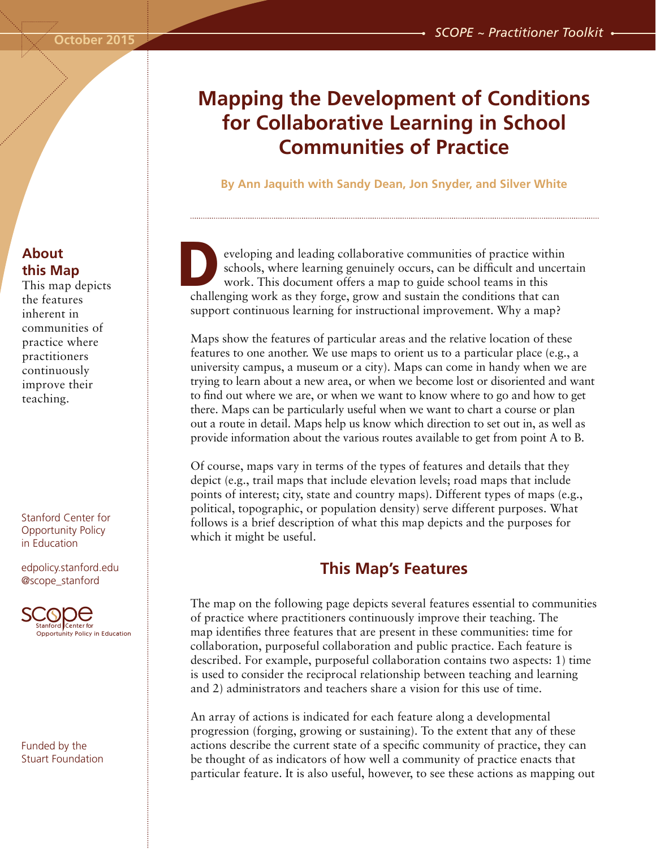# **Mapping the Development of Conditions for Collaborative Learning in School Communities of Practice**

**By Ann Jaquith with Sandy Dean, Jon Snyder, and Silver White**

eveloping and leading collaborative communities of practice within schools, where learning genuinely occurs, can be difficult and uncertain work. This document offers a map to guide school teams in this eveloping and leading collaborative communities of practice within schools, where learning genuinely occurs, can be difficult and unce work. This document offers a map to guide school teams in this challenging work as they support continuous learning for instructional improvement. Why a map?

Maps show the features of particular areas and the relative location of these features to one another. We use maps to orient us to a particular place (e.g., a university campus, a museum or a city). Maps can come in handy when we are trying to learn about a new area, or when we become lost or disoriented and want to find out where we are, or when we want to know where to go and how to get there. Maps can be particularly useful when we want to chart a course or plan out a route in detail. Maps help us know which direction to set out in, as well as provide information about the various routes available to get from point A to B.

Of course, maps vary in terms of the types of features and details that they depict (e.g., trail maps that include elevation levels; road maps that include points of interest; city, state and country maps). Different types of maps (e.g., political, topographic, or population density) serve different purposes. What follows is a brief description of what this map depicts and the purposes for which it might be useful.

### **This Map's Features**

The map on the following page depicts several features essential to communities of practice where practitioners continuously improve their teaching. The map identifies three features that are present in these communities: time for collaboration, purposeful collaboration and public practice. Each feature is described. For example, purposeful collaboration contains two aspects: 1) time is used to consider the reciprocal relationship between teaching and learning and 2) administrators and teachers share a vision for this use of time.

An array of actions is indicated for each feature along a developmental progression (forging, growing or sustaining). To the extent that any of these actions describe the current state of a specific community of practice, they can be thought of as indicators of how well a community of practice enacts that particular feature. It is also useful, however, to see these actions as mapping out

# **About this Map**

This map depicts the features inherent in communities of practice where practitioners continuously improve their teaching.

Stanford Center for Opportunity Policy in Education

edpolicy.stanford.edu @scope\_stanford



Funded by the Stuart Foundation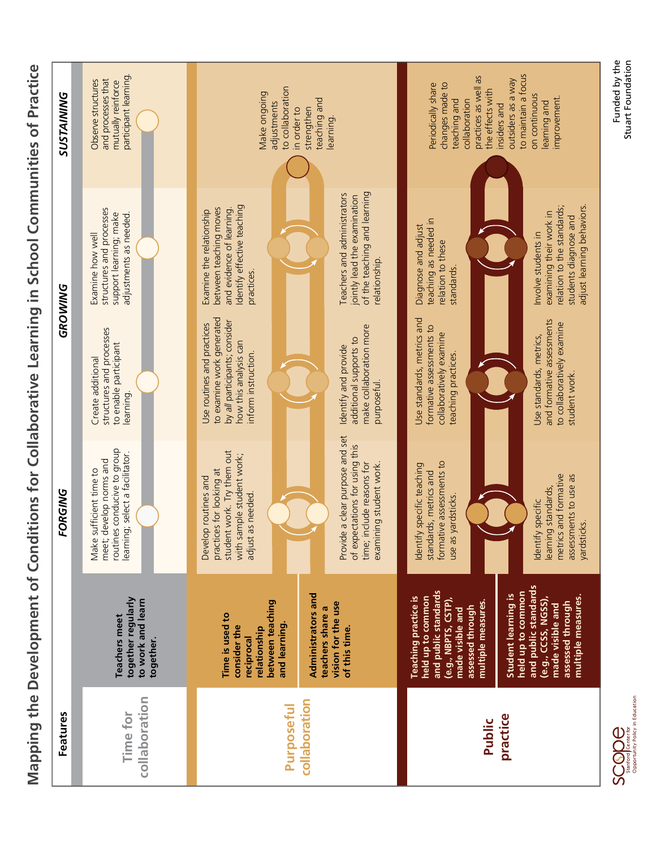

| Features                           |                                                                                                                                                                                                                                                                                                                         | <b>FORGING</b>                                                                                                                                                                                                                                               |                                                                                                                                                                                                                                      | GROWING                                                                                                                                                                                                                                      | <b>SUSTAINING</b>                                                                                                                                                                                                                |
|------------------------------------|-------------------------------------------------------------------------------------------------------------------------------------------------------------------------------------------------------------------------------------------------------------------------------------------------------------------------|--------------------------------------------------------------------------------------------------------------------------------------------------------------------------------------------------------------------------------------------------------------|--------------------------------------------------------------------------------------------------------------------------------------------------------------------------------------------------------------------------------------|----------------------------------------------------------------------------------------------------------------------------------------------------------------------------------------------------------------------------------------------|----------------------------------------------------------------------------------------------------------------------------------------------------------------------------------------------------------------------------------|
| collaboration<br>Time for          | together regularly<br>to work and learn<br><b>Teachers meet</b><br>together.                                                                                                                                                                                                                                            | routines conducive to group<br>learning; select a facilitator.<br>meet; develop norms and<br>Make sufficient time to                                                                                                                                         | structures and processes<br>to enable participant<br>Create additional<br>learning.                                                                                                                                                  | structures and processes<br>support learning; make<br>adjustments as needed.<br>Examine how well                                                                                                                                             | participant learning<br>and processes that<br>Observe structures<br>mutually reinforce                                                                                                                                           |
| collaboration<br><b>Purposeful</b> | Administrators and<br>between teaching<br>vision for the use<br>teachers share a<br>Time is used to<br>and learning.<br>consider the<br>relationship<br>of this time.<br>reciprocal                                                                                                                                     | Provide a clear purpose and set<br>of expectations for using this<br>student work. Try them out<br>with sample student work;<br>time; include reasons for<br>examining student work<br>practices for looking at<br>Develop routines and<br>adjust as needed. | to examine work generated<br>by all participants; consider<br>Use routines and practices<br>make collaboration more<br>additional supports to<br>how this analysis can<br>Identify and provide<br>inform instruction.<br>purposeful. | of the teaching and learning<br>Teachers and administrators<br>jointly lead the examination<br>Identify effective teaching<br>between teaching moves<br>and evidence of learning.<br>Examine the relationship<br>relationship.<br>practices. | to collaboration<br>Make ongoing<br>teaching and<br>adjustments<br>strengthen<br>in order to<br>learning                                                                                                                         |
| practice<br>Public                 | and public standards<br>and public standards<br>held up to common<br>Student learning is<br>multiple measures.<br><b>Teaching practice is</b><br>held up to common<br>(e.g., CCSS, NGSS),<br>(e.g., NBPTS, CSTP),<br>multiple measures.<br>assessed through<br>made visible and<br>assessed through<br>made visible and | formative assessments to<br>Identify specific teaching<br>standards, metrics and<br>metrics and formative<br>assessments to use as<br>learning standards,<br>as yardsticks.<br>Identify specific<br>yardsticks.<br>use                                       | Use standards, metrics and<br>and formative assessments<br>to collaboratively examine<br>formative assessments to<br>collaboratively examine<br>Use standards, metrics,<br>teaching practices.<br>student work.                      | adjust learning behaviors.<br>relation to the standards;<br>examining their work in<br>students diagnose and<br>teaching as needed in<br>Diagnose and adjust<br>Involve students in<br>relation to these<br>standards                        | to maintain a focus<br>practices as well as<br>outsiders as a way<br>changes made to<br>Periodically share<br>the effects with<br>on continuous<br>improvement.<br>teaching and<br>collaboration<br>learning and<br>insiders and |



Funded by the<br>Stuart Foundation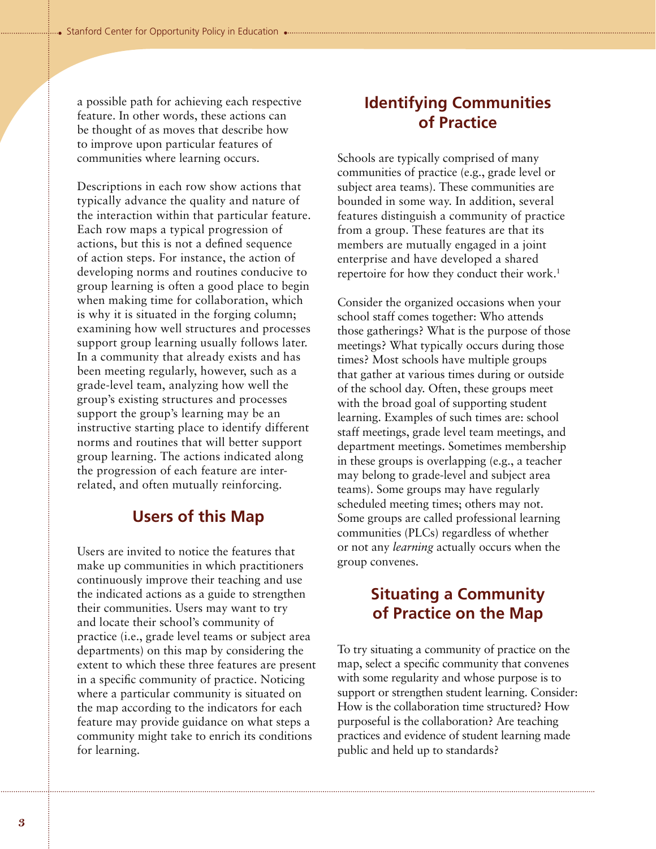a possible path for achieving each respective feature. In other words, these actions can be thought of as moves that describe how to improve upon particular features of communities where learning occurs.

Descriptions in each row show actions that typically advance the quality and nature of the interaction within that particular feature. Each row maps a typical progression of actions, but this is not a defined sequence of action steps. For instance, the action of developing norms and routines conducive to group learning is often a good place to begin when making time for collaboration, which is why it is situated in the forging column; examining how well structures and processes support group learning usually follows later. In a community that already exists and has been meeting regularly, however, such as a grade-level team, analyzing how well the group's existing structures and processes support the group's learning may be an instructive starting place to identify different norms and routines that will better support group learning. The actions indicated along the progression of each feature are interrelated, and often mutually reinforcing.

### **Users of this Map**

Users are invited to notice the features that make up communities in which practitioners continuously improve their teaching and use the indicated actions as a guide to strengthen their communities. Users may want to try and locate their school's community of practice (i.e., grade level teams or subject area departments) on this map by considering the extent to which these three features are present in a specific community of practice. Noticing where a particular community is situated on the map according to the indicators for each feature may provide guidance on what steps a community might take to enrich its conditions for learning.

# **Identifying Communities of Practice**

Schools are typically comprised of many communities of practice (e.g., grade level or subject area teams). These communities are bounded in some way. In addition, several features distinguish a community of practice from a group. These features are that its members are mutually engaged in a joint enterprise and have developed a shared repertoire for how they conduct their work.<sup>1</sup>

Consider the organized occasions when your school staff comes together: Who attends those gatherings? What is the purpose of those meetings? What typically occurs during those times? Most schools have multiple groups that gather at various times during or outside of the school day. Often, these groups meet with the broad goal of supporting student learning. Examples of such times are: school staff meetings, grade level team meetings, and department meetings. Sometimes membership in these groups is overlapping (e.g., a teacher may belong to grade-level and subject area teams). Some groups may have regularly scheduled meeting times; others may not. Some groups are called professional learning communities (PLCs) regardless of whether or not any *learning* actually occurs when the group convenes.

# **Situating a Community of Practice on the Map**

To try situating a community of practice on the map, select a specific community that convenes with some regularity and whose purpose is to support or strengthen student learning. Consider: How is the collaboration time structured? How purposeful is the collaboration? Are teaching practices and evidence of student learning made public and held up to standards?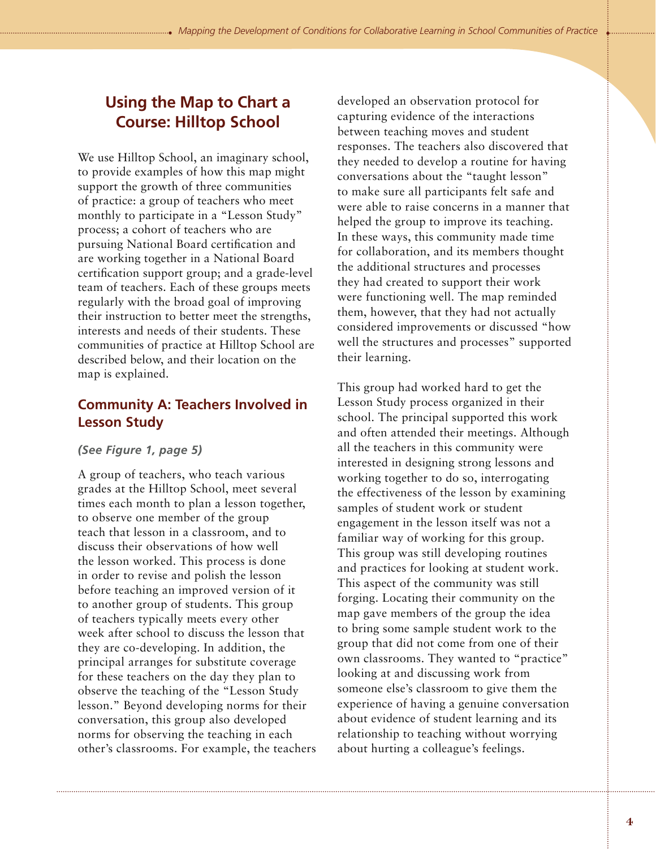# **Using the Map to Chart a Course: Hilltop School**

We use Hilltop School, an imaginary school, to provide examples of how this map might support the growth of three communities of practice: a group of teachers who meet monthly to participate in a "Lesson Study" process; a cohort of teachers who are pursuing National Board certification and are working together in a National Board certification support group; and a grade-level team of teachers. Each of these groups meets regularly with the broad goal of improving their instruction to better meet the strengths, interests and needs of their students. These communities of practice at Hilltop School are described below, and their location on the map is explained.

### **Community A: Teachers Involved in Lesson Study**

#### *(See Figure 1, page 5)*

A group of teachers, who teach various grades at the Hilltop School, meet several times each month to plan a lesson together, to observe one member of the group teach that lesson in a classroom, and to discuss their observations of how well the lesson worked. This process is done in order to revise and polish the lesson before teaching an improved version of it to another group of students. This group of teachers typically meets every other week after school to discuss the lesson that they are co-developing. In addition, the principal arranges for substitute coverage for these teachers on the day they plan to observe the teaching of the "Lesson Study lesson." Beyond developing norms for their conversation, this group also developed norms for observing the teaching in each other's classrooms. For example, the teachers developed an observation protocol for capturing evidence of the interactions between teaching moves and student responses. The teachers also discovered that they needed to develop a routine for having conversations about the "taught lesson" to make sure all participants felt safe and were able to raise concerns in a manner that helped the group to improve its teaching. In these ways, this community made time for collaboration, and its members thought the additional structures and processes they had created to support their work were functioning well. The map reminded them, however, that they had not actually considered improvements or discussed "how well the structures and processes" supported their learning.

This group had worked hard to get the Lesson Study process organized in their school. The principal supported this work and often attended their meetings. Although all the teachers in this community were interested in designing strong lessons and working together to do so, interrogating the effectiveness of the lesson by examining samples of student work or student engagement in the lesson itself was not a familiar way of working for this group. This group was still developing routines and practices for looking at student work. This aspect of the community was still forging. Locating their community on the map gave members of the group the idea to bring some sample student work to the group that did not come from one of their own classrooms. They wanted to "practice" looking at and discussing work from someone else's classroom to give them the experience of having a genuine conversation about evidence of student learning and its relationship to teaching without worrying about hurting a colleague's feelings.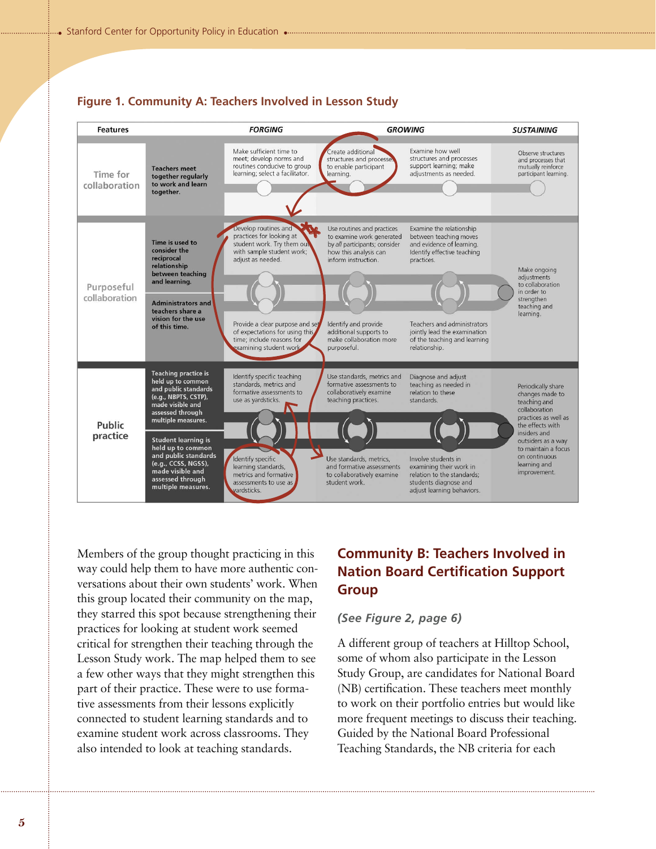

#### **Figure 1. Community A: Teachers Involved in Lesson Study**

Members of the group thought practicing in this way could help them to have more authentic conversations about their own students' work. When this group located their community on the map, they starred this spot because strengthening their practices for looking at student work seemed critical for strengthen their teaching through the Lesson Study work. The map helped them to see a few other ways that they might strengthen this part of their practice. These were to use formative assessments from their lessons explicitly connected to student learning standards and to examine student work across classrooms. They also intended to look at teaching standards.

### **Community B: Teachers Involved in Nation Board Certification Support Group**

#### *(See Figure 2, page 6)*

A different group of teachers at Hilltop School, some of whom also participate in the Lesson Study Group, are candidates for National Board (NB) certification. These teachers meet monthly to work on their portfolio entries but would like more frequent meetings to discuss their teaching. Guided by the National Board Professional Teaching Standards, the NB criteria for each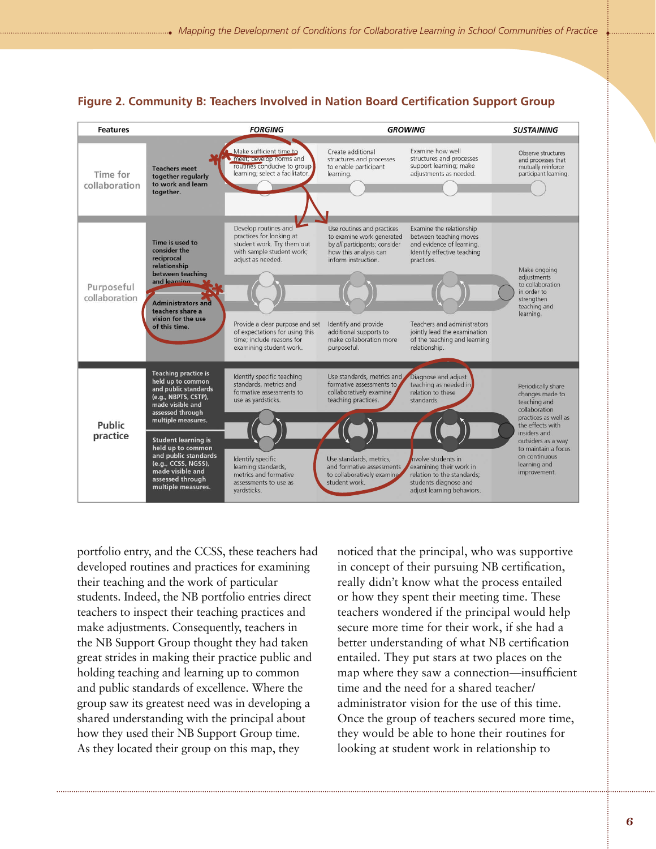

#### **Figure 2. Community B: Teachers Involved in Nation Board Certification Support Group**

portfolio entry, and the CCSS, these teachers had developed routines and practices for examining their teaching and the work of particular students. Indeed, the NB portfolio entries direct teachers to inspect their teaching practices and make adjustments. Consequently, teachers in the NB Support Group thought they had taken great strides in making their practice public and holding teaching and learning up to common and public standards of excellence. Where the group saw its greatest need was in developing a shared understanding with the principal about how they used their NB Support Group time. As they located their group on this map, they

noticed that the principal, who was supportive in concept of their pursuing NB certification, really didn't know what the process entailed or how they spent their meeting time. These teachers wondered if the principal would help secure more time for their work, if she had a better understanding of what NB certification entailed. They put stars at two places on the map where they saw a connection—insufficient time and the need for a shared teacher/ administrator vision for the use of this time. Once the group of teachers secured more time, they would be able to hone their routines for looking at student work in relationship to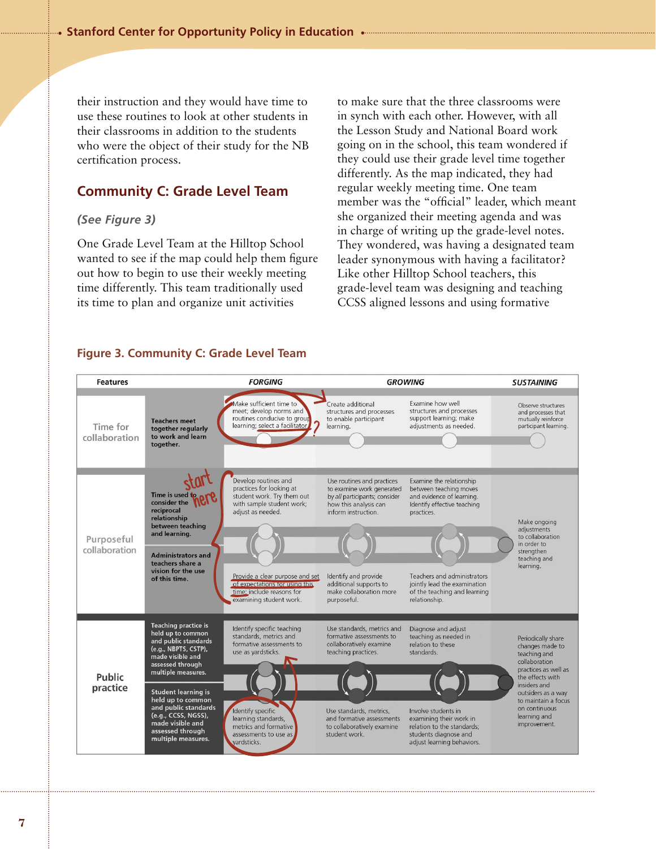their instruction and they would have time to use these routines to look at other students in their classrooms in addition to the students who were the object of their study for the NB certification process.

#### **Community C: Grade Level Team**

#### *(See Figure 3)*

One Grade Level Team at the Hilltop School wanted to see if the map could help them figure out how to begin to use their weekly meeting time differently. This team traditionally used its time to plan and organize unit activities

to make sure that the three classrooms were in synch with each other. However, with all the Lesson Study and National Board work going on in the school, this team wondered if they could use their grade level time together differently. As the map indicated, they had regular weekly meeting time. One team member was the "official" leader, which meant she organized their meeting agenda and was in charge of writing up the grade-level notes. They wondered, was having a designated team leader synonymous with having a facilitator? Like other Hilltop School teachers, this grade-level team was designing and teaching CCSS aligned lessons and using formative

#### **Figure 3. Community C: Grade Level Team**

| <b>Features</b>             | <b>FORGING</b><br><b>GROWING</b>                                                                                                                                                                                                                                                                                               |                                                                                                                                                                                                                                                               |                                                                                                                                                                                                                                      | <b>SUSTAINING</b>                                                                                                                                                                                                                            |                                                                                                                                                                                                                                  |
|-----------------------------|--------------------------------------------------------------------------------------------------------------------------------------------------------------------------------------------------------------------------------------------------------------------------------------------------------------------------------|---------------------------------------------------------------------------------------------------------------------------------------------------------------------------------------------------------------------------------------------------------------|--------------------------------------------------------------------------------------------------------------------------------------------------------------------------------------------------------------------------------------|----------------------------------------------------------------------------------------------------------------------------------------------------------------------------------------------------------------------------------------------|----------------------------------------------------------------------------------------------------------------------------------------------------------------------------------------------------------------------------------|
| Time for<br>collaboration   | <b>Teachers meet</b><br>together regularly<br>to work and learn<br>together.                                                                                                                                                                                                                                                   | Make sufficient time to<br>meet; develop norms and<br>routines conducive to group<br>learning; select a facilitator,                                                                                                                                          | Create additional<br>structures and processes<br>to enable participant<br>learning.                                                                                                                                                  | Examine how well<br>structures and processes<br>support learning; make<br>adjustments as needed.                                                                                                                                             | Observe structures<br>and processes that<br>mutually reinforce<br>participant learning.                                                                                                                                          |
| Purposeful<br>collaboration | Time is used to<br>consider the<br>reciprocal<br>relationship<br>between teaching<br>and learning.<br><b>Administrators and</b><br>teachers share a<br>vision for the use<br>of this time.                                                                                                                                     | Develop routines and<br>practices for looking at<br>student work. Try them out<br>with sample student work;<br>adjust as needed.<br>Provide a clear purpose and set<br>of expectations for using this<br>time; include reasons for<br>examining student work. | Use routines and practices<br>to examine work generated<br>by all participants; consider<br>how this analysis can<br>inform instruction.<br>Identify and provide<br>additional supports to<br>make collaboration more<br>purposeful. | Examine the relationship<br>between teaching moves<br>and evidence of learning.<br>Identify effective teaching<br>practices.<br>Teachers and administrators<br>jointly lead the examination<br>of the teaching and learning<br>relationship. | Make ongoing<br>adjustments<br>to collaboration<br>in order to<br>strengthen<br>teaching and<br>learning.                                                                                                                        |
| Public<br>practice          | <b>Teaching practice is</b><br>held up to common<br>and public standards<br>(e.g., NBPTS, CSTP),<br>made visible and<br>assessed through<br>multiple measures.<br><b>Student learning is</b><br>held up to common<br>and public standards<br>(e.g., CCSS, NGSS),<br>made visible and<br>assessed through<br>multiple measures. | Identify specific teaching<br>standards, metrics and<br>formative assessments to<br>use as yardsticks.<br>Identify specific<br>learning standards,<br>metrics and formative<br>assessments to use as<br>vardsticks.                                           | Use standards, metrics and<br>formative assessments to<br>collaboratively examine<br>teaching practices.<br>Use standards, metrics,<br>and formative assessments<br>to collaboratively examine<br>student work.                      | Diagnose and adjust<br>teaching as needed in<br>relation to these<br>standards.<br>Involve students in<br>examining their work in<br>relation to the standards:<br>students diagnose and<br>adjust learning behaviors.                       | Periodically share<br>changes made to<br>teaching and<br>collaboration<br>practices as well as<br>the effects with<br>insiders and<br>outsiders as a way<br>to maintain a focus<br>on continuous<br>learning and<br>improvement. |